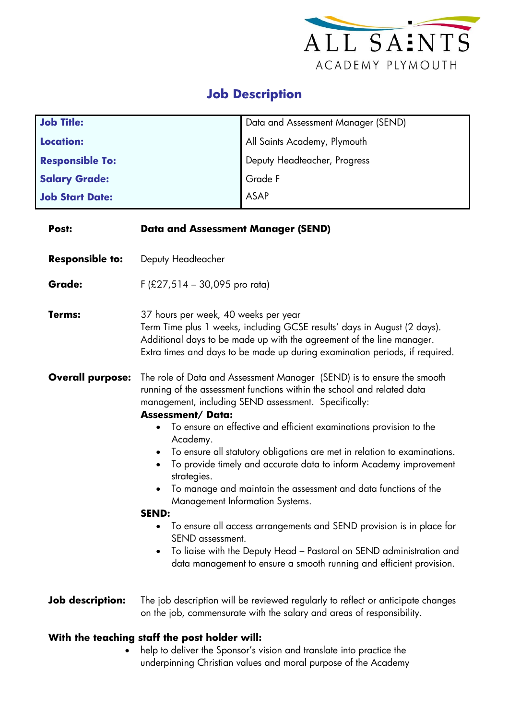

## **Job Description**

| <b>Job Title:</b>      | Data and Assessment Manager (SEND) |
|------------------------|------------------------------------|
| <b>Location:</b>       | All Saints Academy, Plymouth       |
| <b>Responsible To:</b> | Deputy Headteacher, Progress       |
| <b>Salary Grade:</b>   | Grade F                            |
| <b>Job Start Date:</b> | ASAP                               |

| Post:                   | <b>Data and Assessment Manager (SEND)</b>                                                                                                                                                                                                                                                                                                                                                                                                                                                                                                                                                                                                                                                                                                                                                                                                                                                                 |  |  |
|-------------------------|-----------------------------------------------------------------------------------------------------------------------------------------------------------------------------------------------------------------------------------------------------------------------------------------------------------------------------------------------------------------------------------------------------------------------------------------------------------------------------------------------------------------------------------------------------------------------------------------------------------------------------------------------------------------------------------------------------------------------------------------------------------------------------------------------------------------------------------------------------------------------------------------------------------|--|--|
| <b>Responsible to:</b>  | Deputy Headteacher                                                                                                                                                                                                                                                                                                                                                                                                                                                                                                                                                                                                                                                                                                                                                                                                                                                                                        |  |  |
| <b>Grade:</b>           | $F$ (£27,514 – 30,095 pro rata)                                                                                                                                                                                                                                                                                                                                                                                                                                                                                                                                                                                                                                                                                                                                                                                                                                                                           |  |  |
| Terms:                  | 37 hours per week, 40 weeks per year<br>Term Time plus 1 weeks, including GCSE results' days in August (2 days).<br>Additional days to be made up with the agreement of the line manager.<br>Extra times and days to be made up during examination periods, if required.                                                                                                                                                                                                                                                                                                                                                                                                                                                                                                                                                                                                                                  |  |  |
| <b>Overall purpose:</b> | The role of Data and Assessment Manager (SEND) is to ensure the smooth<br>running of the assessment functions within the school and related data<br>management, including SEND assessment. Specifically:<br><b>Assessment/Data:</b><br>To ensure an effective and efficient examinations provision to the<br>Academy.<br>To ensure all statutory obligations are met in relation to examinations.<br>$\bullet$<br>To provide timely and accurate data to inform Academy improvement<br>$\bullet$<br>strategies.<br>To manage and maintain the assessment and data functions of the<br><b>Management Information Systems.</b><br><b>SEND:</b><br>To ensure all access arrangements and SEND provision is in place for<br>$\bullet$<br>SEND assessment.<br>To liaise with the Deputy Head - Pastoral on SEND administration and<br>٠<br>data management to ensure a smooth running and efficient provision. |  |  |
| <b>Job description:</b> | The job description will be reviewed regularly to reflect or anticipate changes<br>on the job, commensurate with the salary and areas of responsibility.                                                                                                                                                                                                                                                                                                                                                                                                                                                                                                                                                                                                                                                                                                                                                  |  |  |
|                         | With the teaching staff the post holder will:                                                                                                                                                                                                                                                                                                                                                                                                                                                                                                                                                                                                                                                                                                                                                                                                                                                             |  |  |

• help to deliver the Sponsor's vision and translate into practice the underpinning Christian values and moral purpose of the Academy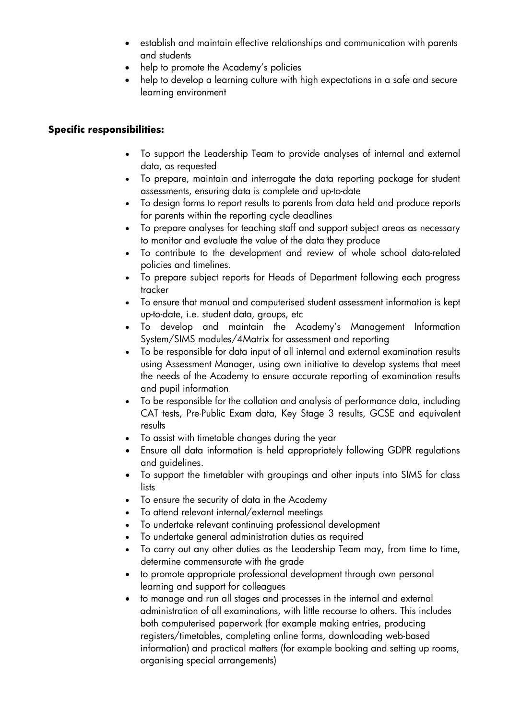- establish and maintain effective relationships and communication with parents and students
- help to promote the Academy's policies
- help to develop a learning culture with high expectations in a safe and secure learning environment

## **Specific responsibilities:**

- To support the Leadership Team to provide analyses of internal and external data, as requested
- To prepare, maintain and interrogate the data reporting package for student assessments, ensuring data is complete and up-to-date
- To design forms to report results to parents from data held and produce reports for parents within the reporting cycle deadlines
- To prepare analyses for teaching staff and support subject areas as necessary to monitor and evaluate the value of the data they produce
- To contribute to the development and review of whole school data-related policies and timelines.
- To prepare subject reports for Heads of Department following each progress tracker
- To ensure that manual and computerised student assessment information is kept up-to-date, i.e. student data, groups, etc
- To develop and maintain the Academy's Management Information System/SIMS modules/4Matrix for assessment and reporting
- To be responsible for data input of all internal and external examination results using Assessment Manager, using own initiative to develop systems that meet the needs of the Academy to ensure accurate reporting of examination results and pupil information
- To be responsible for the collation and analysis of performance data, including CAT tests, Pre-Public Exam data, Key Stage 3 results, GCSE and equivalent results
- To assist with timetable changes during the year
- Ensure all data information is held appropriately following GDPR regulations and guidelines.
- To support the timetabler with groupings and other inputs into SIMS for class lists
- To ensure the security of data in the Academy
- To attend relevant internal/external meetings
- To undertake relevant continuing professional development
- To undertake general administration duties as required
- To carry out any other duties as the Leadership Team may, from time to time, determine commensurate with the grade
- to promote appropriate professional development through own personal learning and support for colleagues
- to manage and run all stages and processes in the internal and external administration of all examinations, with little recourse to others. This includes both computerised paperwork (for example making entries, producing registers/timetables, completing online forms, downloading web-based information) and practical matters (for example booking and setting up rooms, organising special arrangements)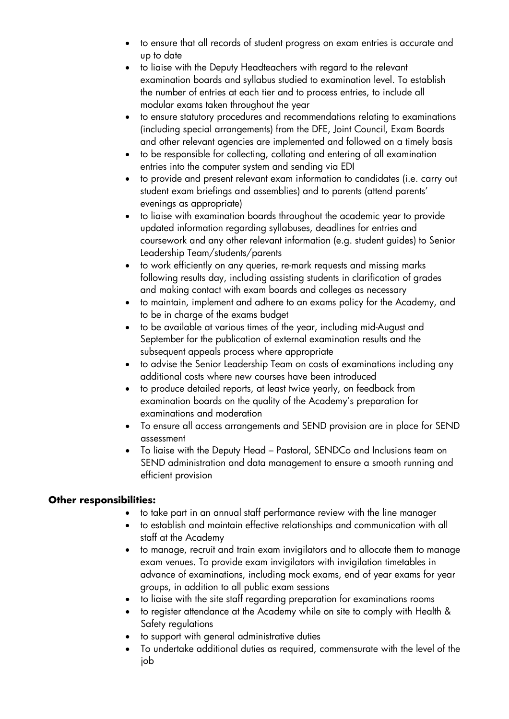- to ensure that all records of student progress on exam entries is accurate and up to date
- to liaise with the Deputy Headteachers with regard to the relevant examination boards and syllabus studied to examination level. To establish the number of entries at each tier and to process entries, to include all modular exams taken throughout the year
- to ensure statutory procedures and recommendations relating to examinations (including special arrangements) from the DFE, Joint Council, Exam Boards and other relevant agencies are implemented and followed on a timely basis
- to be responsible for collecting, collating and entering of all examination entries into the computer system and sending via EDI
- to provide and present relevant exam information to candidates (i.e. carry out student exam briefings and assemblies) and to parents (attend parents' evenings as appropriate)
- to liaise with examination boards throughout the academic year to provide updated information regarding syllabuses, deadlines for entries and coursework and any other relevant information (e.g. student guides) to Senior Leadership Team/students/parents
- to work efficiently on any queries, re-mark requests and missing marks following results day, including assisting students in clarification of grades and making contact with exam boards and colleges as necessary
- to maintain, implement and adhere to an exams policy for the Academy, and to be in charge of the exams budget
- to be available at various times of the year, including mid-August and September for the publication of external examination results and the subsequent appeals process where appropriate
- to advise the Senior Leadership Team on costs of examinations including any additional costs where new courses have been introduced
- to produce detailed reports, at least twice yearly, on feedback from examination boards on the quality of the Academy's preparation for examinations and moderation
- To ensure all access arrangements and SEND provision are in place for SEND assessment
- To liaise with the Deputy Head Pastoral, SENDCo and Inclusions team on SEND administration and data management to ensure a smooth running and efficient provision

## **Other responsibilities:**

- to take part in an annual staff performance review with the line manager
- to establish and maintain effective relationships and communication with all staff at the Academy
- to manage, recruit and train exam invigilators and to allocate them to manage exam venues. To provide exam invigilators with invigilation timetables in advance of examinations, including mock exams, end of year exams for year groups, in addition to all public exam sessions
- to liaise with the site staff regarding preparation for examinations rooms
- to register attendance at the Academy while on site to comply with Health & Safety regulations
- to support with general administrative duties
- To undertake additional duties as required, commensurate with the level of the job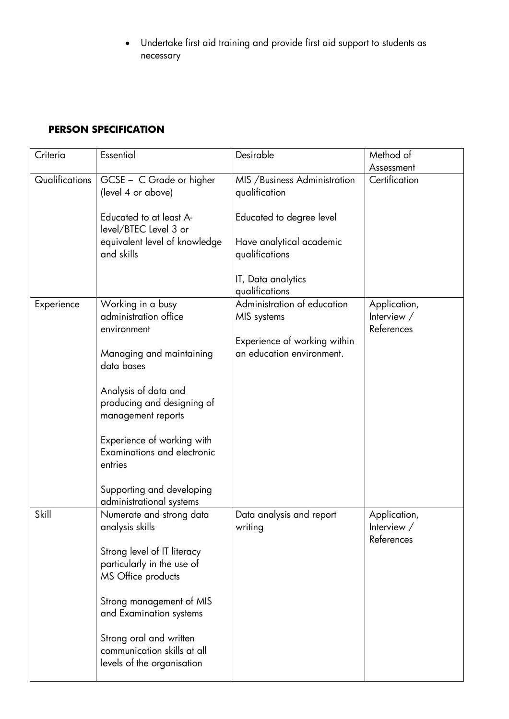• Undertake first aid training and provide first aid support to students as necessary

## **PERSON SPECIFICATION**

| Criteria       | Essential                                                                            | Desirable                                                 | Method of                                   |
|----------------|--------------------------------------------------------------------------------------|-----------------------------------------------------------|---------------------------------------------|
|                |                                                                                      |                                                           | Assessment                                  |
| Qualifications | GCSE - C Grade or higher<br>(level 4 or above)                                       | MIS / Business Administration<br>qualification            | Certification                               |
|                | Educated to at least A-<br>level/BTEC Level 3 or                                     | Educated to degree level                                  |                                             |
|                | equivalent level of knowledge<br>and skills                                          | Have analytical academic<br>qualifications                |                                             |
|                |                                                                                      | IT, Data analytics<br>qualifications                      |                                             |
| Experience     | Working in a busy<br>administration office<br>environment                            | Administration of education<br>MIS systems                | Application,<br>Interview $/$<br>References |
|                | Managing and maintaining<br>data bases                                               | Experience of working within<br>an education environment. |                                             |
|                | Analysis of data and<br>producing and designing of<br>management reports             |                                                           |                                             |
|                | Experience of working with<br><b>Examinations and electronic</b><br>entries          |                                                           |                                             |
|                | Supporting and developing<br>administrational systems                                |                                                           |                                             |
| Skill          | Numerate and strong data<br>analysis skills                                          | Data analysis and report<br>writing                       | Application,<br>Interview $/$<br>References |
|                | Strong level of IT literacy<br>particularly in the use of<br>MS Office products      |                                                           |                                             |
|                | Strong management of MIS<br>and Examination systems                                  |                                                           |                                             |
|                | Strong oral and written<br>communication skills at all<br>levels of the organisation |                                                           |                                             |